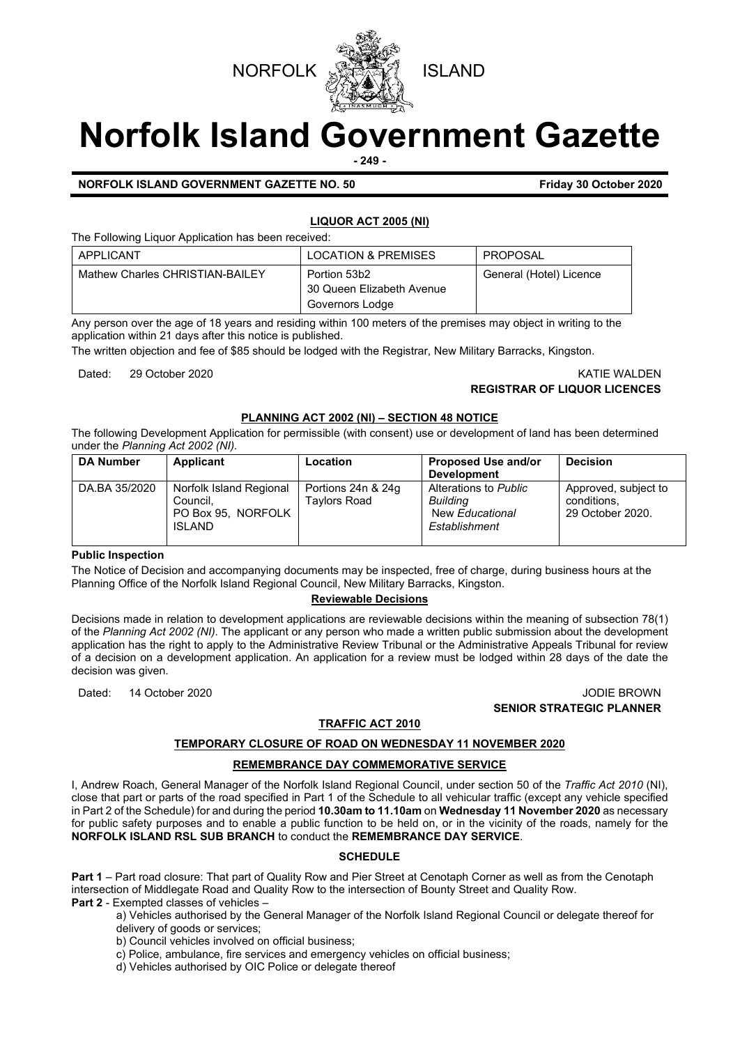



# **Norfolk Island Government Gazette**

**- 249 -**

#### **NORFOLK ISLAND GOVERNMENT GAZETTE NO. 50** *CONDUCTER SETS FRIDAY 30 October 2020*

#### **LIQUOR ACT 2005 (NI)**

The Following Liquor Application has been received:

| APPLICANT                       | <b>LOCATION &amp; PREMISES</b>                               | PROPOSAL                |
|---------------------------------|--------------------------------------------------------------|-------------------------|
| Mathew Charles CHRISTIAN-BAILEY | Portion 53b2<br>30 Queen Elizabeth Avenue<br>Governors Lodge | General (Hotel) Licence |

Any person over the age of 18 years and residing within 100 meters of the premises may object in writing to the application within 21 days after this notice is published.

The written objection and fee of \$85 should be lodged with the Registrar, New Military Barracks, Kingston.

#### Dated: 29 October 2020 KATIE WALDEN **REGISTRAR OF LIQUOR LICENCES**

#### **PLANNING ACT 2002 (NI) – SECTION 48 NOTICE**

The following Development Application for permissible (with consent) use or development of land has been determined under the *Planning Act 2002 (NI).*

| <b>DA Number</b> | Applicant                                                                  | Location                           | <b>Proposed Use and/or</b><br><b>Development</b>                      | <b>Decision</b>                                         |
|------------------|----------------------------------------------------------------------------|------------------------------------|-----------------------------------------------------------------------|---------------------------------------------------------|
| DA.BA 35/2020    | Norfolk Island Regional<br>Council.<br>PO Box 95, NORFOLK<br><b>ISLAND</b> | Portions 24n & 24g<br>Tavlors Road | Alterations to Public<br>Buildina<br>New Educational<br>Establishment | Approved, subject to<br>conditions.<br>29 October 2020. |

### **Public Inspection**

The Notice of Decision and accompanying documents may be inspected, free of charge, during business hours at the Planning Office of the Norfolk Island Regional Council, New Military Barracks, Kingston.

#### **Reviewable Decisions**

Decisions made in relation to development applications are reviewable decisions within the meaning of subsection 78(1) of the *Planning Act 2002 (NI).* The applicant or any person who made a written public submission about the development application has the right to apply to the Administrative Review Tribunal or the Administrative Appeals Tribunal for review of a decision on a development application. An application for a review must be lodged within 28 days of the date the decision was given.

#### Dated: 14 October 2020 JODIE BROWN **SENIOR STRATEGIC PLANNER**

#### **TRAFFIC ACT 2010**

#### **TEMPORARY CLOSURE OF ROAD ON WEDNESDAY 11 NOVEMBER 2020**

#### **REMEMBRANCE DAY COMMEMORATIVE SERVICE**

I, Andrew Roach, General Manager of the Norfolk Island Regional Council, under section 50 of the *Traffic Act 2010* (NI), close that part or parts of the road specified in Part 1 of the Schedule to all vehicular traffic (except any vehicle specified in Part 2 of the Schedule) for and during the period **10.30am to 11.10am** on **Wednesday 11 November 2020** as necessary for public safety purposes and to enable a public function to be held on, or in the vicinity of the roads, namely for the **NORFOLK ISLAND RSL SUB BRANCH** to conduct the **REMEMBRANCE DAY SERVICE**.

#### **SCHEDULE**

**Part 1** – Part road closure: That part of Quality Row and Pier Street at Cenotaph Corner as well as from the Cenotaph intersection of Middlegate Road and Quality Row to the intersection of Bounty Street and Quality Row. **Part 2** - Exempted classes of vehicles –

a) Vehicles authorised by the General Manager of the Norfolk Island Regional Council or delegate thereof for delivery of goods or services;

b) Council vehicles involved on official business;

- c) Police, ambulance, fire services and emergency vehicles on official business;
- d) Vehicles authorised by OIC Police or delegate thereof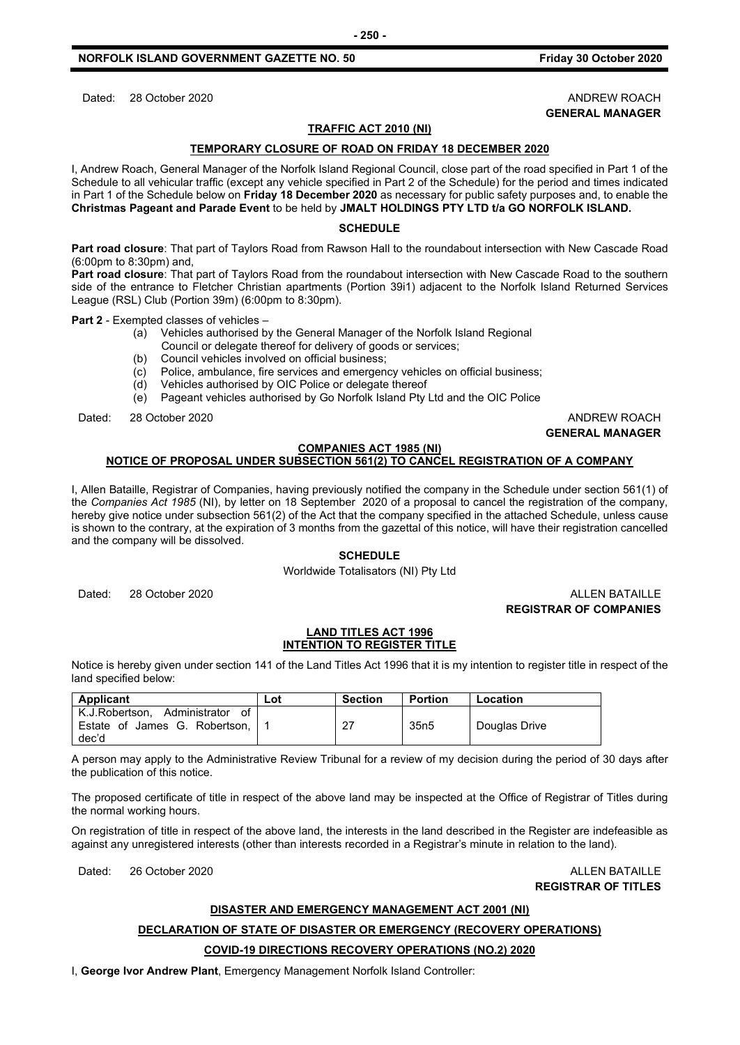#### **NORFOLK ISLAND GOVERNMENT GAZETTE NO. 50** *CONTRESS 10 CONTROL STAND 10 OCTOBER 2020*

Dated: 28 October 2020 ANDREW ROACH

**GENERAL MANAGER**

#### **TRAFFIC ACT 2010 (NI)**

#### **TEMPORARY CLOSURE OF ROAD ON FRIDAY 18 DECEMBER 2020**

I, Andrew Roach, General Manager of the Norfolk Island Regional Council, close part of the road specified in Part 1 of the Schedule to all vehicular traffic (except any vehicle specified in Part 2 of the Schedule) for the period and times indicated in Part 1 of the Schedule below on **Friday 18 December 2020** as necessary for public safety purposes and, to enable the **Christmas Pageant and Parade Event** to be held by **JMALT HOLDINGS PTY LTD t/a GO NORFOLK ISLAND.**

#### **SCHEDULE**

**Part road closure**: That part of Taylors Road from Rawson Hall to the roundabout intersection with New Cascade Road (6:00pm to 8:30pm) and,

**Part road closure**: That part of Taylors Road from the roundabout intersection with New Cascade Road to the southern side of the entrance to Fletcher Christian apartments (Portion 39i1) adjacent to the Norfolk Island Returned Services League (RSL) Club (Portion 39m) (6:00pm to 8:30pm).

**Part 2** - Exempted classes of vehicles -<br>(a) Vehicles authorised b

- Vehicles authorised by the General Manager of the Norfolk Island Regional
- Council or delegate thereof for delivery of goods or services;<br>(b) Council vehicles involved on official business;
- Council vehicles involved on official business;
- (c) Police, ambulance, fire services and emergency vehicles on official business;
- (d) Vehicles authorised by OIC Police or delegate thereof
- (e) Pageant vehicles authorised by Go Norfolk Island Pty Ltd and the OIC Police

Dated: 28 October 2020 ANDREW ROACH

### **GENERAL MANAGER**

#### **COMPANIES ACT 1985 (NI) NOTICE OF PROPOSAL UNDER SUBSECTION 561(2) TO CANCEL REGISTRATION OF A COMPANY**

I, Allen Bataille, Registrar of Companies, having previously notified the company in the Schedule under section 561(1) of the *Companies Act 1985* (NI), by letter on 18 September 2020 of a proposal to cancel the registration of the company, hereby give notice under subsection 561(2) of the Act that the company specified in the attached Schedule, unless cause is shown to the contrary, at the expiration of 3 months from the gazettal of this notice, will have their registration cancelled and the company will be dissolved.

#### **SCHEDULE**

Worldwide Totalisators (NI) Pty Ltd

Dated: 28 October 2020 ALLEN BATAILLE

### **REGISTRAR OF COMPANIES**

#### **LAND TITLES ACT 1996 INTENTION TO REGISTER TITLE**

Notice is hereby given under section 141 of the Land Titles Act 1996 that it is my intention to register title in respect of the land specified below:

| Applicant                                                                      | Lot | <b>Section</b> | <b>Portion</b>    | Location      |
|--------------------------------------------------------------------------------|-----|----------------|-------------------|---------------|
| K.J.Robertson. Administrator<br>0t<br>Estate of James G. Robertson, I<br>dec'd |     | 27             | 35 <sub>n</sub> 5 | Douglas Drive |

A person may apply to the Administrative Review Tribunal for a review of my decision during the period of 30 days after the publication of this notice.

The proposed certificate of title in respect of the above land may be inspected at the Office of Registrar of Titles during the normal working hours.

On registration of title in respect of the above land, the interests in the land described in the Register are indefeasible as against any unregistered interests (other than interests recorded in a Registrar's minute in relation to the land).

Dated: 26 October 2020 ALLEN BATAILLE

## **REGISTRAR OF TITLES**

#### **DISASTER AND EMERGENCY MANAGEMENT ACT 2001 (NI)**

#### **DECLARATION OF STATE OF DISASTER OR EMERGENCY (RECOVERY OPERATIONS)**

**COVID-19 DIRECTIONS RECOVERY OPERATIONS (NO.2) 2020**

I, **George Ivor Andrew Plant**, Emergency Management Norfolk Island Controller: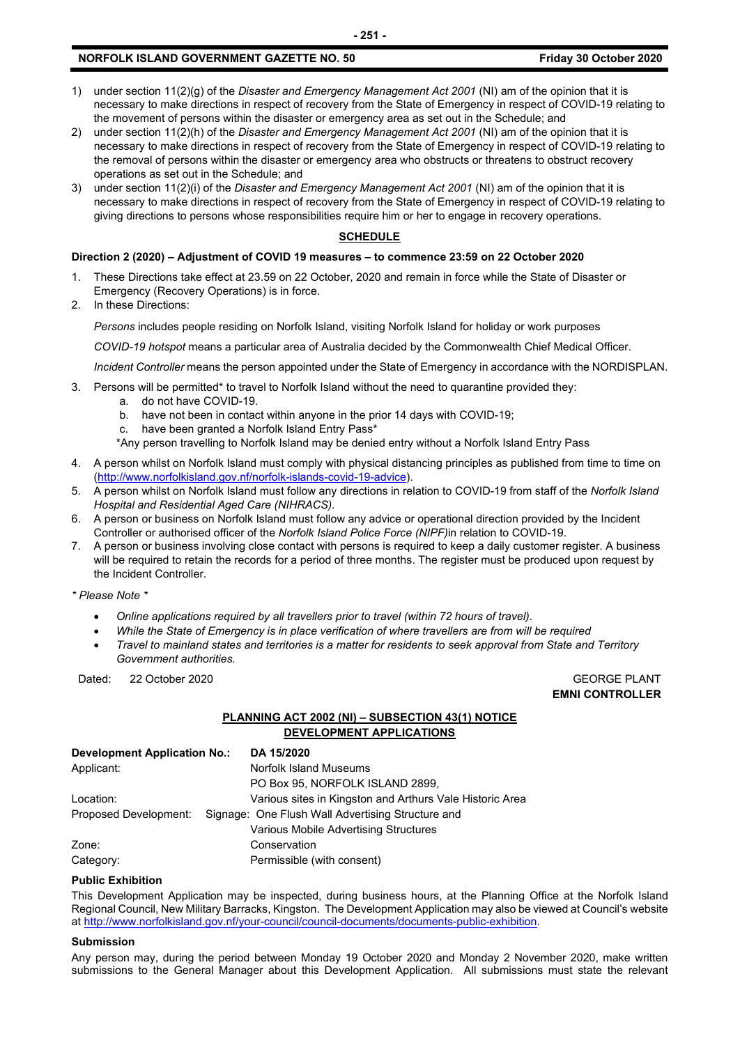#### **NORFOLK ISLAND GOVERNMENT GAZETTE NO. 50 Friday 30 October 2020**

- 1) under section 11(2)(g) of the *Disaster and Emergency Management Act 2001* (NI) am of the opinion that it is necessary to make directions in respect of recovery from the State of Emergency in respect of COVID-19 relating to the movement of persons within the disaster or emergency area as set out in the Schedule; and
- 2) under section 11(2)(h) of the *Disaster and Emergency Management Act 2001* (NI) am of the opinion that it is necessary to make directions in respect of recovery from the State of Emergency in respect of COVID-19 relating to the removal of persons within the disaster or emergency area who obstructs or threatens to obstruct recovery operations as set out in the Schedule; and
- 3) under section 11(2)(i) of the *Disaster and Emergency Management Act 2001* (NI) am of the opinion that it is necessary to make directions in respect of recovery from the State of Emergency in respect of COVID-19 relating to giving directions to persons whose responsibilities require him or her to engage in recovery operations.

#### **SCHEDULE**

#### **Direction 2 (2020) – Adjustment of COVID 19 measures – to commence 23:59 on 22 October 2020**

- 1. These Directions take effect at 23.59 on 22 October, 2020 and remain in force while the State of Disaster or Emergency (Recovery Operations) is in force.
- 2. In these Directions:

*Persons* includes people residing on Norfolk Island, visiting Norfolk Island for holiday or work purposes

*COVID-19 hotspot* means a particular area of Australia decided by the Commonwealth Chief Medical Officer.

*Incident Controller* means the person appointed under the State of Emergency in accordance with the NORDISPLAN.

- 3. Persons will be permitted\* to travel to Norfolk Island without the need to quarantine provided they:
	- a. do not have COVID-19.
	- b. have not been in contact within anyone in the prior 14 days with COVID-19;
	- c. have been granted a Norfolk Island Entry Pass\*
	- \*Any person travelling to Norfolk Island may be denied entry without a Norfolk Island Entry Pass
- 4. A person whilst on Norfolk Island must comply with physical distancing principles as published from time to time on [\(http://www.norfolkisland.gov.nf/norfolk-islands-covid-19-advice\)](http://www.norfolkisland.gov.nf/norfolk-islands-covid-19-advice).
- 5. A person whilst on Norfolk Island must follow any directions in relation to COVID-19 from staff of the *Norfolk Island Hospital and Residential Aged Care (NIHRACS).*
- 6. A person or business on Norfolk Island must follow any advice or operational direction provided by the Incident Controller or authorised officer of the *Norfolk Island Police Force (NIPF)*in relation to COVID-19.
- 7. A person or business involving close contact with persons is required to keep a daily customer register. A business will be required to retain the records for a period of three months. The register must be produced upon request by the Incident Controller.

*\* Please Note \** 

- *Online applications required by all travellers prior to travel (within 72 hours of travel).*
- *While the State of Emergency is in place verification of where travellers are from will be required*
- *Travel to mainland states and territories is a matter for residents to seek approval from State and Territory Government authorities.*

Dated: 22 October 2020 GEORGE PLANT

**EMNI CONTROLLER**

#### **PLANNING ACT 2002 (NI) – SUBSECTION 43(1) NOTICE DEVELOPMENT APPLICATIONS**

| <b>Development Application No.:</b> | DA 15/2020                                               |
|-------------------------------------|----------------------------------------------------------|
| Applicant:                          | Norfolk Island Museums                                   |
|                                     | PO Box 95, NORFOLK ISLAND 2899,                          |
| Location:                           | Various sites in Kingston and Arthurs Vale Historic Area |
| Proposed Development:               | Signage: One Flush Wall Advertising Structure and        |
|                                     | Various Mobile Advertising Structures                    |
| Zone:                               | Conservation                                             |
| Category:                           | Permissible (with consent)                               |

#### **Public Exhibition**

This Development Application may be inspected, during business hours, at the Planning Office at the Norfolk Island Regional Council, New Military Barracks, Kingston. The Development Application may also be viewed at Council's website a[t http://www.norfolkisland.gov.nf/your-council/council-documents/documents-public-exhibition.](http://www.norfolkisland.gov.nf/your-council/council-documents/documents-public-exhibition)

#### **Submission**

Any person may, during the period between Monday 19 October 2020 and Monday 2 November 2020, make written submissions to the General Manager about this Development Application. All submissions must state the relevant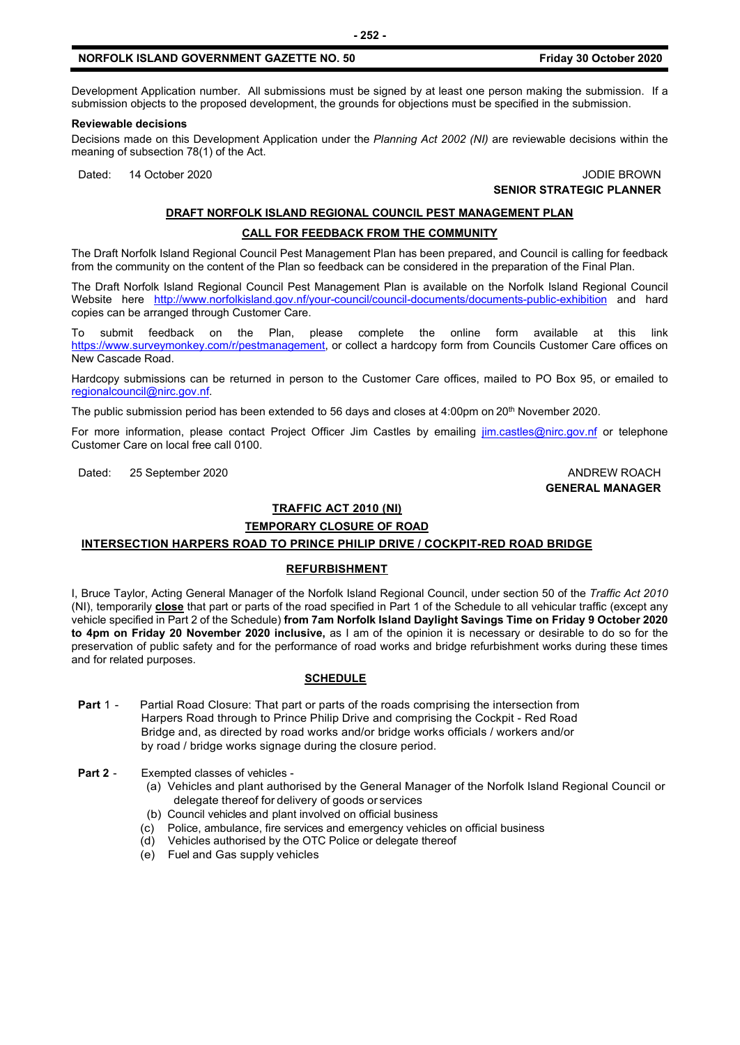#### **NORFOLK ISLAND GOVERNMENT GAZETTE NO. 50 Friday 30 October 2020**

Development Application number. All submissions must be signed by at least one person making the submission. If a submission objects to the proposed development, the grounds for objections must be specified in the submission.

#### **Reviewable decisions**

Decisions made on this Development Application under the *Planning Act 2002 (NI)* are reviewable decisions within the meaning of subsection 78(1) of the Act.

Dated: 14 October 2020 JODIE BROWN

## **SENIOR STRATEGIC PLANNER**

#### **DRAFT NORFOLK ISLAND REGIONAL COUNCIL PEST MANAGEMENT PLAN**

#### **CALL FOR FEEDBACK FROM THE COMMUNITY**

The Draft Norfolk Island Regional Council Pest Management Plan has been prepared, and Council is calling for feedback from the community on the content of the Plan so feedback can be considered in the preparation of the Final Plan.

The Draft Norfolk Island Regional Council Pest Management Plan is available on the Norfolk Island Regional Council Website here <http://www.norfolkisland.gov.nf/your-council/council-documents/documents-public-exhibition> and hard copies can be arranged through Customer Care.

To submit feedback on the Plan, please complete the online form available at this link [https://www.surveymonkey.com/r/pestmanagement,](https://www.surveymonkey.com/r/pestmanagement) or collect a hardcopy form from Councils Customer Care offices on New Cascade Road.

Hardcopy submissions can be returned in person to the Customer Care offices, mailed to PO Box 95, or emailed to [regionalcouncil@nirc.gov.nf.](mailto:regionalcouncil@nirc.gov.nf)

The public submission period has been extended to 56 days and closes at 4:00pm on 20<sup>th</sup> November 2020.

For more information, please contact Project Officer Jim Castles by emailing *[jim.castles@nirc.gov.nf](mailto:jim.castles@nirc.gov.nf)* or telephone Customer Care on local free call 0100.

Dated: 25 September 2020 **ANDREW ROACH CONSIDERER AND ANDREW ROACH** 

### **GENERAL MANAGER**

#### **TRAFFIC ACT 2010 (NI)**

#### **TEMPORARY CLOSURE OF ROAD**

#### **INTERSECTION HARPERS ROAD TO PRINCE PHILIP DRIVE / COCKPIT-RED ROAD BRIDGE**

#### **REFURBISHMENT**

I, Bruce Taylor, Acting General Manager of the Norfolk Island Regional Council, under section 50 of the *Traffic Act 2010* (NI), temporarily **close** that part or parts of the road specified in Part 1 of the Schedule to all vehicular traffic (except any vehicle specified in Part 2 of the Schedule) **from 7am Norfolk Island Daylight Savings Time on Friday 9 October 2020 to 4pm on Friday 20 November 2020 inclusive,** as I am of the opinion it is necessary or desirable to do so for the preservation of public safety and for the performance of road works and bridge refurbishment works during these times and for related purposes.

#### **SCHEDULE**

- **Part 1 -** Partial Road Closure: That part or parts of the roads comprising the intersection from Harpers Road through to Prince Philip Drive and comprising the Cockpit - Red Road Bridge and, as directed by road works and/or bridge works officials / workers and/or by road / bridge works signage during the closure period.
- **Part 2** Exempted classes of vehicles
	- (a) Vehicles and plant authorised by the General Manager of the Norfolk Island Regional Council or delegate thereof for delivery of goods or services
	- (b) Council vehicles and plant involved on official business
	- (c) Police, ambulance, fire services and emergency vehicles on official business
	- (d) Vehicles authorised by the OTC Police or delegate thereof
	- (e) Fuel and Gas supply vehicles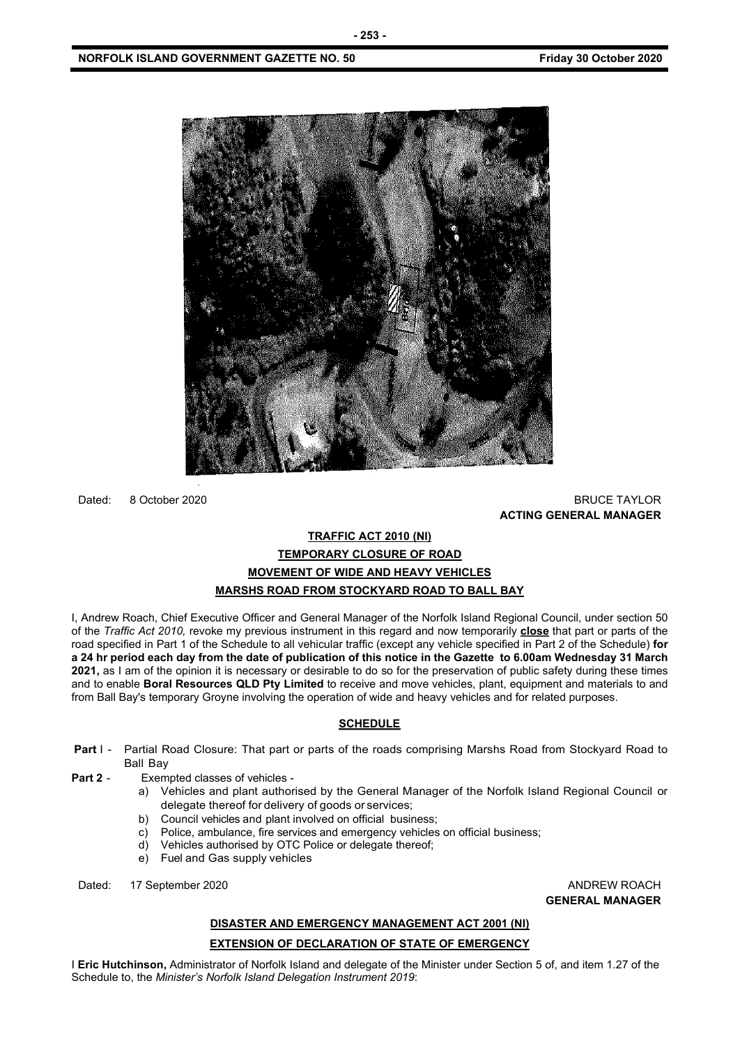

Dated: 8 October 2020 BRUCE TAYLOR

**ACTING GENERAL MANAGER**

### **TRAFFIC ACT 2010 (NI) TEMPORARY CLOSURE OF ROAD MOVEMENT OF WIDE AND HEAVY VEHICLES MARSHS ROAD FROM STOCKYARD ROAD TO BALL BAY**

I, Andrew Roach, Chief Executive Officer and General Manager of the Norfolk Island Regional Council, under section 50 of the *Traffic Act 2010,* revoke my previous instrument in this regard and now temporarily **close** that part or parts of the road specified in Part 1 of the Schedule to all vehicular traffic (except any vehicle specified in Part 2 of the Schedule) **for a 24 hr period each day from the date of publication of this notice in the Gazette to 6.00am Wednesday 31 March 2021,** as I am of the opinion it is necessary or desirable to do so for the preservation of public safety during these times and to enable **Boral Resources QLD Pty Limited** to receive and move vehicles, plant, equipment and materials to and from Ball Bay's temporary Groyne involving the operation of wide and heavy vehicles and for related purposes.

#### **SCHEDULE**

- **Part** I Partial Road Closure: That part or parts of the roads comprising Marshs Road from Stockyard Road to Ball Bay
- **Part 2** Exempted classes of vehicles
	- a) Vehicles and plant authorised by the General Manager of the Norfolk Island Regional Council or delegate thereof for delivery of goods or services;
	- b) Council vehicles and plant involved on official business;
	- c) Police, ambulance, fire services and emergency vehicles on official business;
	- d) Vehicles authorised by OTC Police or delegate thereof;
	- e) Fuel and Gas supply vehicles

Dated: 17 September 2020 **ANDREW ROACH ANDREW ROACH** 

**GENERAL MANAGER**

#### **DISASTER AND EMERGENCY MANAGEMENT ACT 2001 (NI)**

#### **EXTENSION OF DECLARATION OF STATE OF EMERGENCY**

I **Eric Hutchinson,** Administrator of Norfolk Island and delegate of the Minister under Section 5 of, and item 1.27 of the Schedule to, the *Minister's Norfolk Island Delegation Instrument 2019*: